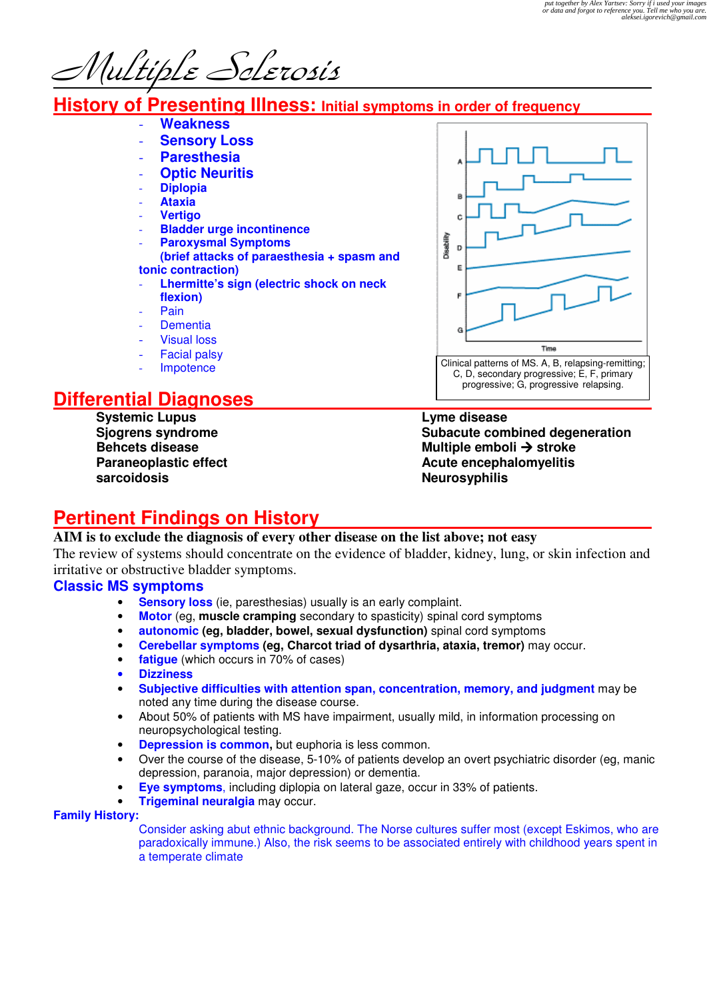Multiple Sclerosis

# **History of Presenting Illness: Initial symptoms in order of frequency**

- **Weakness Sensory Loss** - **Paresthesia Optic Neuritis**
- 
- **Diplopia**
- **Ataxia**  - **Vertigo**
- **Bladder urge incontinence**
- **Paroxysmal Symptoms**
- **(brief attacks of paraesthesia + spasm and tonic contraction)**
- **Lhermitte's sign (electric shock on neck flexion)**
- Pain
- **Dementia**
- **Visual loss**
- **Facial palsy**
- Impotence

# **Differential Diagnoses**

**Systemic Lupus Sjogrens syndrome Behcets disease Paraneoplastic effect sarcoidosis** 



Clinical patterns of MS. A, B, relapsing-remitting;

A

p d

F

Disability D p

# **Pertinent Findings on History**

### **AIM is to exclude the diagnosis of every other disease on the list above; not easy**

The review of systems should concentrate on the evidence of bladder, kidney, lung, or skin infection and irritative or obstructive bladder symptoms.

#### **Classic MS symptoms**

- **Sensory loss** (ie, paresthesias) usually is an early complaint.
- **Motor** (eg, **muscle cramping** secondary to spasticity) spinal cord symptoms
- **autonomic (eg, bladder, bowel, sexual dysfunction)** spinal cord symptoms
- **Cerebellar symptoms (eg, Charcot triad of dysarthria, ataxia, tremor)** may occur.
- **fatigue** (which occurs in 70% of cases)
- **Dizziness**
- **Subjective difficulties with attention span, concentration, memory, and judgment** may be noted any time during the disease course.
- About 50% of patients with MS have impairment, usually mild, in information processing on neuropsychological testing.
- **Depression is common,** but euphoria is less common.
- Over the course of the disease, 5-10% of patients develop an overt psychiatric disorder (eg, manic depression, paranoia, major depression) or dementia.
- **Eye symptoms**, including diplopia on lateral gaze, occur in 33% of patients.
- **Trigeminal neuralgia** may occur.

#### **Family History:**

Consider asking abut ethnic background. The Norse cultures suffer most (except Eskimos, who are paradoxically immune.) Also, the risk seems to be associated entirely with childhood years spent in a temperate climate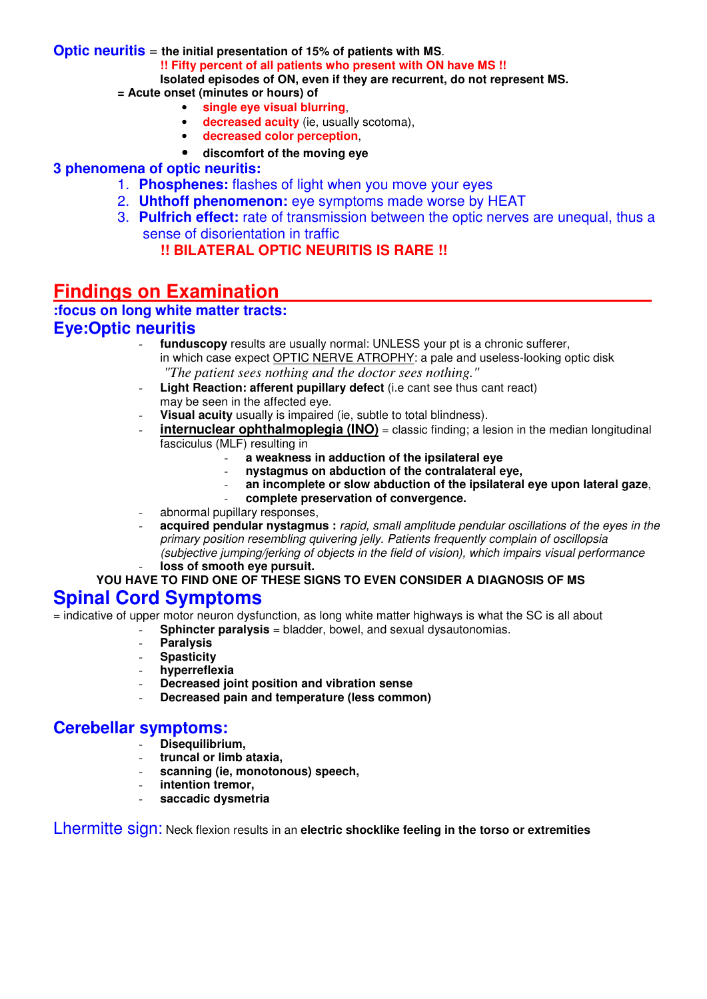#### **Optic neuritis** = **the initial presentation of 15% of patients with MS**.

**!! Fifty percent of all patients who present with ON have MS !!** 

**Isolated episodes of ON, even if they are recurrent, do not represent MS.** 

- **= Acute onset (minutes or hours) of** 
	- **single eye visual blurring**,
	- **decreased acuity** (ie, usually scotoma),
	- **decreased color perception**,
	- **discomfort of the moving eye**

### **3 phenomena of optic neuritis:**

- 1. **Phosphenes:** flashes of light when you move your eyes
- 2. **Uhthoff phenomenon:** eye symptoms made worse by HEAT
- 3. **Pulfrich effect:** rate of transmission between the optic nerves are unequal, thus a sense of disorientation in traffic

### **!! BILATERAL OPTIC NEURITIS IS RARE !!**

# **Findings on Examination**

## **:focus on long white matter tracts:**

### **Eye:Optic neuritis**

- funduscopy results are usually normal: UNLESS your pt is a chronic sufferer, in which case expect OPTIC NERVE ATROPHY: a pale and useless-looking optic disk  *"The patient sees nothing and the doctor sees nothing."*
- Light Reaction: afferent pupillary defect (i.e cant see thus cant react) may be seen in the affected eye.
- **Visual acuity** usually is impaired (ie, subtle to total blindness).
- **internuclear ophthalmoplegia (INO)** = classic finding; a lesion in the median longitudinal fasciculus (MLF) resulting in
	- **a weakness in adduction of the ipsilateral eye**
	- **nystagmus on abduction of the contralateral eye,**
	- **an incomplete or slow abduction of the ipsilateral eye upon lateral gaze**,
	- **complete preservation of convergence.**
- abnormal pupillary responses,
- **acquired pendular nystagmus :** rapid, small amplitude pendular oscillations of the eyes in the primary position resembling quivering jelly. Patients frequently complain of oscillopsia (subjective jumping/jerking of objects in the field of vision), which impairs visual performance loss of smooth eye pursuit.

#### **YOU HAVE TO FIND ONE OF THESE SIGNS TO EVEN CONSIDER A DIAGNOSIS OF MS**

## **Spinal Cord Symptoms**

= indicative of upper motor neuron dysfunction, as long white matter highways is what the SC is all about

- **Sphincter paralysis** = bladder, bowel, and sexual dysautonomias.
	- **Paralysis**
	- **Spasticity**
	- **hyperreflexia**
	- **Decreased joint position and vibration sense**
	- Decreased pain and temperature (less common)

### **Cerebellar symptoms:**

- **Disequilibrium,** 
	- **truncal or limb ataxia,**
	- **scanning (ie, monotonous) speech,**
- intention tremor,
- **saccadic dysmetria**

Lhermitte sign: Neck flexion results in an **electric shocklike feeling in the torso or extremities**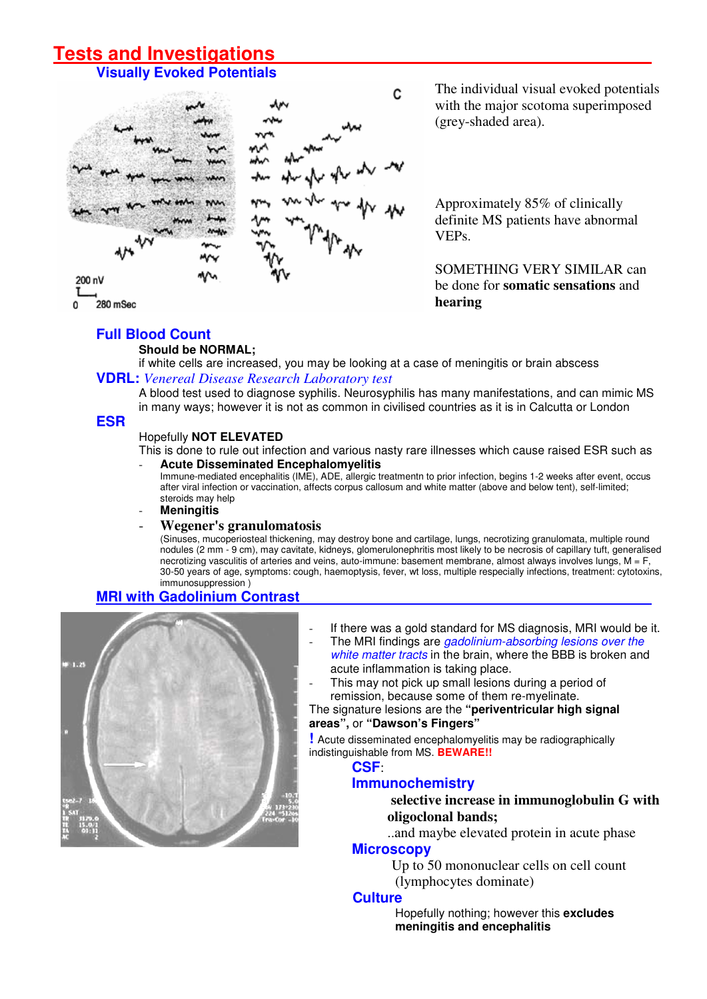# **Tests and Investigations**

## **Visually Evoked Potentials**



The individual visual evoked potentials with the major scotoma superimposed (grey-shaded area).

Approximately 85% of clinically definite MS patients have abnormal VEPs.

### SOMETHING VERY SIMILAR can be done for **somatic sensations** and **hearing**

### **Full Blood Count**

#### **Should be NORMAL;**

 if white cells are increased, you may be looking at a case of meningitis or brain abscess **VDRL:** *Venereal Disease Research Laboratory test*

A blood test used to diagnose syphilis. Neurosyphilis has many manifestations, and can mimic MS in many ways; however it is not as common in civilised countries as it is in Calcutta or London

#### **ESR**

#### Hopefully **NOT ELEVATED**

This is done to rule out infection and various nasty rare illnesses which cause raised ESR such as - **Acute Disseminated Encephalomyelitis** 

Immune-mediated encephalitis (IME), ADE, allergic treatmentn to prior infection, begins 1-2 weeks after event, occus after viral infection or vaccination, affects corpus callosum and white matter (above and below tent), self-limited; steroids may help

#### - **Meningitis**

#### - **Wegener's granulomatosis**

(Sinuses, mucoperiosteal thickening, may destroy bone and cartilage, lungs, necrotizing granulomata, multiple round nodules (2 mm - 9 cm), may cavitate, kidneys, glomerulonephritis most likely to be necrosis of capillary tuft, generalised necrotizing vasculitis of arteries and veins, auto-immune: basement membrane, almost always involves lungs, M = F, 30-50 years of age, symptoms: cough, haemoptysis, fever, wt loss, multiple respecially infections, treatment: cytotoxins, immunosuppression )

### **MRI with Gadolinium Contrast**



- If there was a gold standard for MS diagnosis, MRI would be it.
- The MRI findings are *gadolinium-absorbing lesions over the* white matter tracts in the brain, where the BBB is broken and acute inflammation is taking place.
- This may not pick up small lesions during a period of remission, because some of them re-myelinate.

#### The signature lesions are the **"periventricular high signal areas",** or **"Dawson's Fingers"**

**!** Acute disseminated encephalomyelitis may be radiographically indistinguishable from MS. **BEWARE!!**

#### **CSF**:

#### **Immunochemistry**

#### **selective increase in immunoglobulin G with oligoclonal bands;**

..and maybe elevated protein in acute phase

# **Microscopy**

 Up to 50 mononuclear cells on cell count (lymphocytes dominate)

#### **Culture**

Hopefully nothing; however this **excludes meningitis and encephalitis**